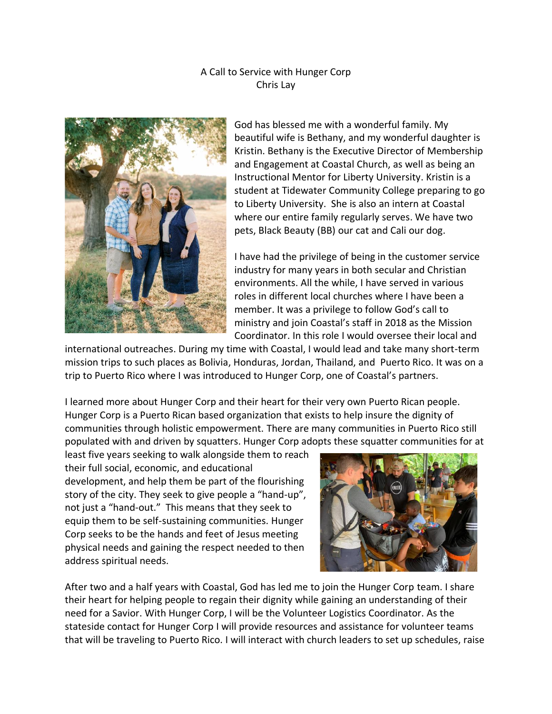## A Call to Service with Hunger Corp Chris Lay



God has blessed me with a wonderful family. My beautiful wife is Bethany, and my wonderful daughter is Kristin. Bethany is the Executive Director of Membership and Engagement at Coastal Church, as well as being an Instructional Mentor for Liberty University. Kristin is a student at Tidewater Community College preparing to go to Liberty University. She is also an intern at Coastal where our entire family regularly serves. We have two pets, Black Beauty (BB) our cat and Cali our dog.

I have had the privilege of being in the customer service industry for many years in both secular and Christian environments. All the while, I have served in various roles in different local churches where I have been a member. It was a privilege to follow God's call to ministry and join Coastal's staff in 2018 as the Mission Coordinator. In this role I would oversee their local and

international outreaches. During my time with Coastal, I would lead and take many short-term mission trips to such places as Bolivia, Honduras, Jordan, Thailand, and Puerto Rico. It was on a trip to Puerto Rico where I was introduced to Hunger Corp, one of Coastal's partners.

I learned more about Hunger Corp and their heart for their very own Puerto Rican people. Hunger Corp is a Puerto Rican based organization that exists to help insure the dignity of communities through holistic empowerment. There are many communities in Puerto Rico still populated with and driven by squatters. Hunger Corp adopts these squatter communities for at

least five years seeking to walk alongside them to reach their full social, economic, and educational development, and help them be part of the flourishing story of the city. They seek to give people a "hand-up", not just a "hand-out." This means that they seek to equip them to be self-sustaining communities. Hunger Corp seeks to be the hands and feet of Jesus meeting physical needs and gaining the respect needed to then address spiritual needs.



After two and a half years with Coastal, God has led me to join the Hunger Corp team. I share their heart for helping people to regain their dignity while gaining an understanding of their need for a Savior. With Hunger Corp, I will be the Volunteer Logistics Coordinator. As the stateside contact for Hunger Corp I will provide resources and assistance for volunteer teams that will be traveling to Puerto Rico. I will interact with church leaders to set up schedules, raise